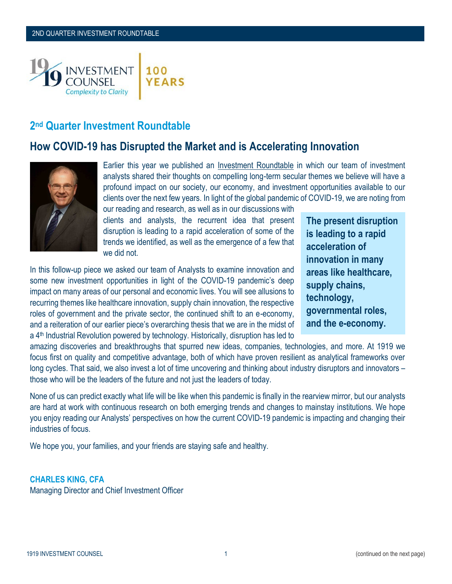

# **2 nd Quarter Investment Roundtable**

# **How COVID-19 has Disrupted the Market and is Accelerating Innovation**



Earlier this year we published an [Investment Roundtable](https://1919ic.com/wp-content/uploads/2020/02/2020-Investment-Roundtable-First-Quarter-3.pdf) in which our team of investment analysts shared their thoughts on compelling long-term secular themes we believe will have a profound impact on our society, our economy, and investment opportunities available to our clients over the next few years. In light of the global pandemic of COVID-19, we are noting from

our reading and research, as well as in our discussions with clients and analysts, the recurrent idea that present disruption is leading to a rapid acceleration of some of the trends we identified, as well as the emergence of a few that we did not.

In this follow-up piece we asked our team of Analysts to examine innovation and some new investment opportunities in light of the COVID-19 pandemic's deep impact on many areas of our personal and economic lives. You will see allusions to recurring themes like healthcare innovation, supply chain innovation, the respective roles of government and the private sector, the continued shift to an e-economy, and a reiteration of our earlier piece's overarching thesis that we are in the midst of a 4<sup>th</sup> Industrial Revolution powered by technology. Historically, disruption has led to

**The present disruption is leading to a rapid acceleration of innovation in many areas like healthcare, supply chains, technology, governmental roles, and the e-economy.**

amazing discoveries and breakthroughs that spurred new ideas, companies, technologies, and more. At 1919 we focus first on quality and competitive advantage, both of which have proven resilient as analytical frameworks over long cycles. That said, we also invest a lot of time uncovering and thinking about industry disruptors and innovators – those who will be the leaders of the future and not just the leaders of today.

None of us can predict exactly what life will be like when this pandemic is finally in the rearview mirror, but our analysts are hard at work with continuous research on both emerging trends and changes to mainstay institutions. We hope you enjoy reading our Analysts' perspectives on how the current COVID-19 pandemic is impacting and changing their industries of focus.

We hope you, your families, and your friends are staying safe and healthy.

# **CHARLES KING, CFA**

Managing Director and Chief Investment Officer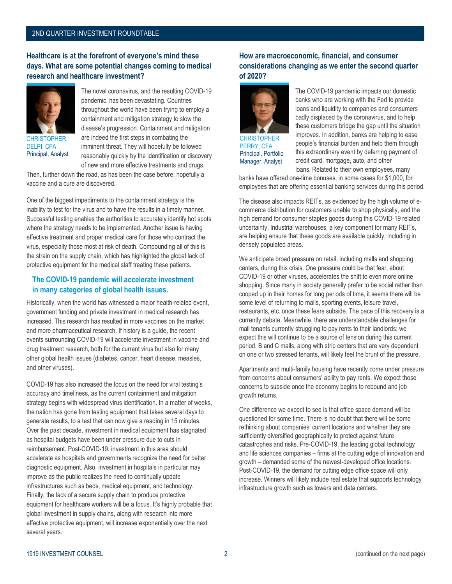### 2ND QUARTER INVESTMENT ROUNDTABLE

#### **Healthcare is at the forefront of everyone's mind these days. What are some potential changes coming to medical research and healthcare investment?**



**CHRISTOPHER** DELPI, CFA Principal, Analyst



Then, further down the road, as has been the case before, hopefully a vaccine and a cure are discovered.

One of the biggest impediments to the containment strategy is the inability to test for the virus and to have the results in a timely manner. Successful testing enables the authorities to accurately identify hot spots where the strategy needs to be implemented. Another issue is having effective treatment and proper medical care for those who contract the virus, especially those most at risk of death. Compounding all of this is the strain on the supply chain, which has highlighted the global lack of protective equipment for the medical staff treating these patients.

#### **The COVID-19 pandemic will accelerate investment in many categories of global health issues.**

Historically, when the world has witnessed a major health-related event, government funding and private investment in medical research has increased. This research has resulted in more vaccines on the market and more pharmaceutical research. If history is a guide, the recent events surrounding COVID-19 will accelerate investment in vaccine and drug treatment research, both for the current virus but also for many other global health issues (diabetes, cancer, heart disease, measles, and other viruses).

COVID-19 has also increased the focus on the need for viral testing's accuracy and timeliness, as the current containment and mitigation strategy begins with widespread virus identification. In a matter of weeks, the nation has gone from testing equipment that takes several days to generate results, to a test that can now give a reading in 15 minutes. Over the past decade, investment in medical equipment has stagnated as hospital budgets have been under pressure due to cuts in reimbursement. Post-COVID-19, investment in this area should accelerate as hospitals and governments recognize the need for better diagnostic equipment. Also, investment in hospitals in particular may improve as the public realizes the need to continually update infrastructures such as beds, medical equipment, and technology. Finally, the lack of a secure supply chain to produce protective equipment for healthcare workers will be a focus. It's highly probable that global investment in supply chains, along with research into more effective protective equipment, will increase exponentially over the next several years.

#### **How are macroeconomic, financial, and consumer considerations changing as we enter the second quarter of 2020?**



**CHRISTOPHER** PERRY, CFA Principal, Portfolio Manager, Analyst

The COVID-19 pandemic impacts our domestic banks who are working with the Fed to provide loans and liquidity to companies and consumers badly displaced by the coronavirus, and to help these customers bridge the gap until the situation improves. In addition, banks are helping to ease people's financial burden and help them through this extraordinary event by deferring payment of credit card, mortgage, auto, and other loans. Related to their own employees, many

banks have offered one-time bonuses, in some cases for \$1,000, for employees that are offering essential banking services during this period.

The disease also impacts REITs, as evidenced by the high volume of ecommerce distribution for customers unable to shop physically, and the high demand for consumer staples goods during this COVID-19 related uncertainty. Industrial warehouses, a key component for many REITs, are helping ensure that these goods are available quickly, including in densely populated areas.

We anticipate broad pressure on retail, including malls and shopping centers, during this crisis. One pressure could be that fear, about COVID-19 or other viruses, accelerates the shift to even more online shopping. Since many in society generally prefer to be social rather than cooped up in their homes for long periods of time, it seems there will be some level of returning to malls, sporting events, leisure travel, restaurants, etc. once these fears subside. The pace of this recovery is a currently debate. Meanwhile, there are understandable challenges for mall tenants currently struggling to pay rents to their landlords; we expect this will continue to be a source of tension during this current period. B and C malls, along with strip centers that are very dependent on one or two stressed tenants, will likely feel the brunt of the pressure.

Apartments and multi-family housing have recently come under pressure from concerns about consumers' ability to pay rents. We expect those concerns to subside once the economy begins to rebound and job growth returns.

One difference we expect to see is that office space demand will be questioned for some time. There is no doubt that there will be some rethinking about companies' current locations and whether they are sufficiently diversified geographically to protect against future catastrophes and risks. Pre-COVID-19, the leading global technology and life sciences companies – firms at the cutting edge of innovation and growth – demanded some of the newest-developed office locations. Post-COVID-19, the demand for cutting edge office space will only increase. Winners will likely include real estate that supports technology infrastructure growth such as towers and data centers.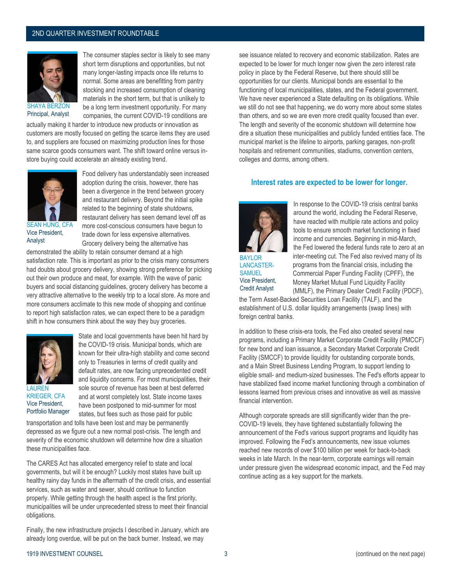#### 2ND QUARTER INVESTMENT ROUNDTABLE



The consumer staples sector is likely to see many short term disruptions and opportunities, but not many longer-lasting impacts once life returns to normal. Some areas are benefitting from pantry stocking and increased consumption of cleaning materials in the short term, but that is unlikely to be a long term investment opportunity. For many companies, the current COVID-19 conditions are

actually making it harder to introduce new products or innovation as customers are mostly focused on getting the scarce items they are used to, and suppliers are focused on maximizing production lines for those same scarce goods consumers want. The shift toward online versus instore buying could accelerate an already existing trend.



SEAN HUNG, CFA Vice President, Analyst

Food delivery has understandably seen increased adoption during the crisis, however, there has been a divergence in the trend between grocery and restaurant delivery. Beyond the initial spike related to the beginning of state shutdowns, restaurant delivery has seen demand level off as more cost-conscious consumers have begun to trade down for less expensive alternatives. Grocery delivery being the alternative has

demonstrated the ability to retain consumer demand at a high satisfaction rate. This is important as prior to the crisis many consumers had doubts about grocery delivery, showing strong preference for picking out their own produce and meat, for example. With the wave of panic buyers and social distancing guidelines, grocery delivery has become a very attractive alternative to the weekly trip to a local store. As more and more consumers acclimate to this new mode of shopping and continue to report high satisfaction rates, we can expect there to be a paradigm shift in how consumers think about the way they buy groceries.



State and local governments have been hit hard by the COVID-19 crisis. Municipal bonds, which are known for their ultra-high stability and come second only to Treasuries in terms of credit quality and default rates, are now facing unprecedented credit and liquidity concerns. For most municipalities, their sole source of revenue has been at best deferred and at worst completely lost. State income taxes have been postponed to mid-summer for most states, but fees such as those paid for public

KRIEGER, CFA Vice President, Portfolio Manager

transportation and tolls have been lost and may be permanently depressed as we figure out a new normal post-crisis. The length and severity of the economic shutdown will determine how dire a situation these municipalities face.

The CARES Act has allocated emergency relief to state and local governments, but will it be enough? Luckily most states have built up healthy rainy day funds in the aftermath of the credit crisis, and essential services, such as water and sewer, should continue to function properly. While getting through the health aspect is the first priority, municipalities will be under unprecedented stress to meet their financial obligations.

Finally, the new infrastructure projects I described in January, which are already long overdue, will be put on the back burner. Instead, we may

see issuance related to recovery and economic stabilization. Rates are expected to be lower for much longer now given the zero interest rate policy in place by the Federal Reserve, but there should still be opportunities for our clients. Municipal bonds are essential to the functioning of local municipalities, states, and the Federal government. We have never experienced a State defaulting on its obligations. While we still do not see that happening, we do worry more about some states than others, and so we are even more credit quality focused than ever. The length and severity of the economic shutdown will determine how dire a situation these municipalities and publicly funded entities face. The municipal market is the lifeline to airports, parking garages, non-profit hospitals and retirement communities, stadiums, convention centers, colleges and dorms, among others.

#### **Interest rates are expected to be lower for longer.**



BAYLOR LANCASTER-**SAMUEL** Vice President, Credit Analyst

In response to the COVID-19 crisis central banks around the world, including the Federal Reserve, have reacted with multiple rate actions and policy tools to ensure smooth market functioning in fixed income and currencies. Beginning in mid-March, the Fed lowered the federal funds rate to zero at an inter-meeting cut. The Fed also revived many of its programs from the financial crisis, including the Commercial Paper Funding Facility (CPFF), the Money Market Mutual Fund Liquidity Facility (MMLF), the Primary Dealer Credit Facility (PDCF),

the Term Asset-Backed Securities Loan Facility (TALF), and the establishment of U.S. dollar liquidity arrangements (swap lines) with foreign central banks.

In addition to these crisis-era tools, the Fed also created several new programs, including a Primary Market Corporate Credit Facility (PMCCF) for new bond and loan issuance, a Secondary Market Corporate Credit Facility (SMCCF) to provide liquidity for outstanding corporate bonds, and a Main Street Business Lending Program, to support lending to eligible small- and medium-sized businesses. The Fed's efforts appear to have stabilized fixed income market functioning through a combination of lessons learned from previous crises and innovative as well as massive financial intervention.

Although corporate spreads are still significantly wider than the pre-COVID-19 levels, they have tightened substantially following the announcement of the Fed's various support programs and liquidity has improved. Following the Fed's announcements, new issue volumes reached new records of over \$100 billion per week for back-to-back weeks in late March. In the near-term, corporate earnings will remain under pressure given the widespread economic impact, and the Fed may continue acting as a key support for the markets.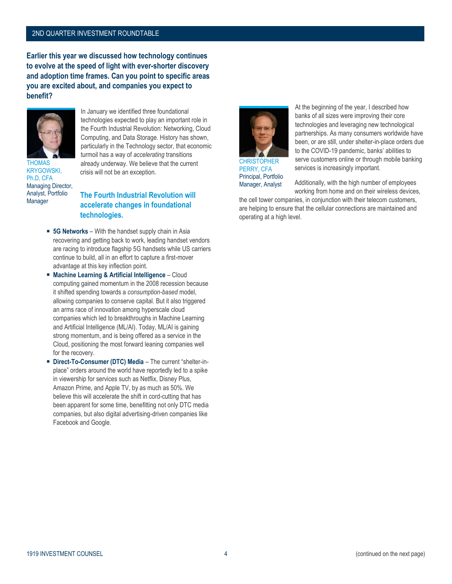#### 2ND QUARTER INVESTMENT ROUNDTABLE

**Earlier this year we discussed how technology continues to evolve at the speed of light with ever-shorter discovery and adoption time frames. Can you point to specific areas you are excited about, and companies you expect to benefit?**



In January we identified three foundational technologies expected to play an important role in the Fourth Industrial Revolution: Networking, Cloud Computing, and Data Storage. History has shown, particularly in the Technology sector, that economic turmoil has a way of *accelerating* transitions already underway. We believe that the current crisis will not be an exception.

KRYGOWSKI, Ph.D, CFA Managing Director, Analyst, Portfolio Manager

### **The Fourth Industrial Revolution will accelerate changes in foundational technologies.**

- **5G Networks** With the handset supply chain in Asia recovering and getting back to work, leading handset vendors are racing to introduce flagship 5G handsets while US carriers continue to build, all in an effort to capture a first-mover advantage at this key inflection point.
- **Machine Learning & Artificial Intelligence**  Cloud computing gained momentum in the 2008 recession because it shifted spending towards a *consumption-based* model, allowing companies to conserve capital. But it also triggered an arms race of innovation among hyperscale cloud companies which led to breakthroughs in Machine Learning and Artificial Intelligence (ML/AI). Today, ML/AI is gaining strong momentum, and is being offered as a service in the Cloud, positioning the most forward leaning companies well for the recovery.
- **Direct-To-Consumer (DTC) Media** The current "shelter-inplace" orders around the world have reportedly led to a spike in viewership for services such as Netflix, Disney Plus, Amazon Prime, and Apple TV, by as much as 50%. We believe this will accelerate the shift in cord-cutting that has been apparent for some time, benefitting not only DTC media companies, but also digital advertising-driven companies like Facebook and Google.



**CHRISTOPHER** PERRY, CFA Principal, Portfolio Manager, Analyst

At the beginning of the year, I described how banks of all sizes were improving their core technologies and leveraging new technological partnerships. As many consumers worldwide have been, or are still, under shelter-in-place orders due to the COVID-19 pandemic, banks' abilities to serve customers online or through mobile banking services is increasingly important.

Additionally, with the high number of employees working from home and on their wireless devices,

the cell tower companies, in conjunction with their telecom customers, are helping to ensure that the cellular connections are maintained and operating at a high level.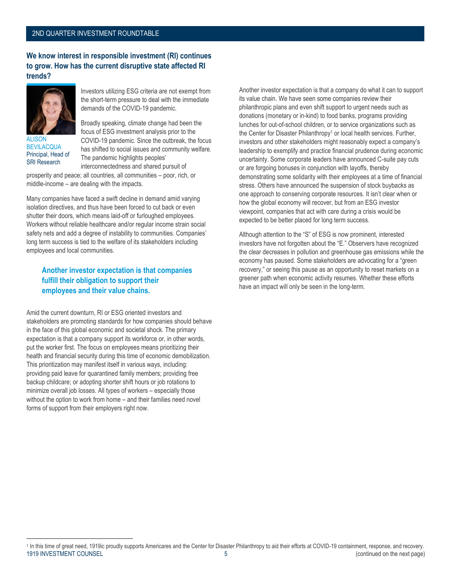#### **We know interest in responsible investment (RI) continues to grow. How has the current disruptive state affected RI trends?**



**ALISON BEVILACQUA** Principal, Head of SRI Research

Investors utilizing ESG criteria are not exempt from the short-term pressure to deal with the immediate demands of the COVID-19 pandemic.

Broadly speaking, climate change had been the focus of ESG investment analysis prior to the COVID-19 pandemic. Since the outbreak, the focus has shifted to social issues and community welfare. The pandemic highlights peoples' interconnectedness and shared pursuit of

prosperity and peace; all countries, all communities – poor, rich, or middle-income – are dealing with the impacts.

Many companies have faced a swift decline in demand amid varying isolation directives, and thus have been forced to cut back or even shutter their doors, which means laid-off or furloughed employees. Workers without reliable healthcare and/or regular income strain social safety nets and add a degree of instability to communities. Companies' long term success is tied to the welfare of its stakeholders including employees and local communities.

## **Another investor expectation is that companies fulfill their obligation to support their employees and their value chains.**

Amid the current downturn, RI or ESG oriented investors and stakeholders are promoting standards for how companies should behave in the face of this global economic and societal shock. The primary expectation is that a company support its workforce or, in other words, put the worker first. The focus on employees means prioritizing their health and financial security during this time of economic demobilization. This prioritization may manifest itself in various ways, including: providing paid leave for quarantined family members; providing free backup childcare; or adopting shorter shift hours or job rotations to minimize overall job losses. All types of workers – especially those without the option to work from home – and their families need novel forms of support from their employers right now.

Another investor expectation is that a company do what it can to support its value chain. We have seen some companies review their philanthropic plans and even shift support to urgent needs such as donations (monetary or in-kind) to food banks, programs providing lunches for out-of-school children, or to service organizations such as the Center for Disaster Philanthropy<sup>1</sup> or local health services. Further, investors and other stakeholders might reasonably expect a company's leadership to exemplify and practice financial prudence during economic uncertainty. Some corporate leaders have announced C-suite pay cuts or are forgoing bonuses in conjunction with layoffs, thereby demonstrating some solidarity with their employees at a time of financial stress. Others have announced the suspension of stock buybacks as one approach to conserving corporate resources. It isn't clear when or how the global economy will recover, but from an ESG investor viewpoint, companies that act with care during a crisis would be expected to be better placed for long term success.

Although attention to the "S" of ESG is now prominent, interested investors have not forgotten about the "E." Observers have recognized the clear decreases in pollution and greenhouse gas emissions while the economy has paused. Some stakeholders are advocating for a "green recovery," or seeing this pause as an opportunity to reset markets on a greener path when economic activity resumes. Whether these efforts have an impact will only be seen in the long-term.

<sup>1919</sup> INVESTMENT COUNSEL **1919 INVESTMENT COUNSEL** 6 (continued on the next page)  $\overline{\phantom{a}}$ <sup>1</sup> In this time of great need, 1919ic proudly supports Americares and the Center for Disaster Philanthropy to aid their efforts at COVID-19 containment, response, and recovery.